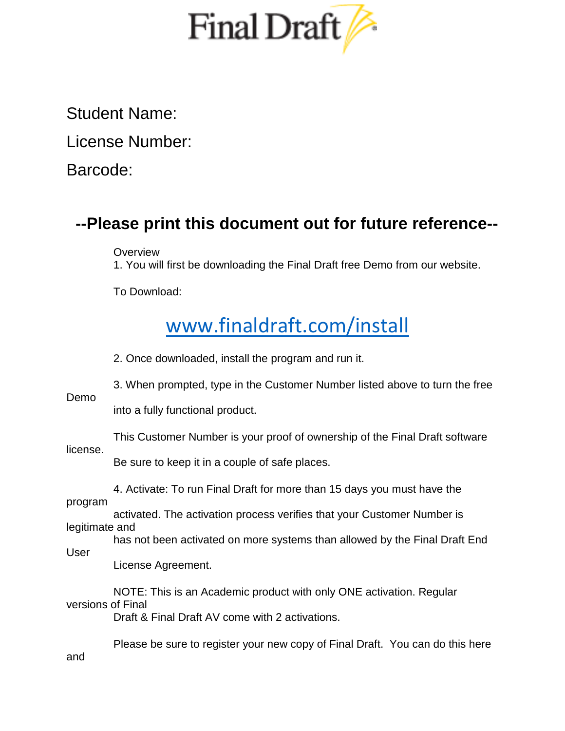

Student Name:

License Number:

Barcode:

## **--Please print this document out for future reference--**

**Overview** 

1. You will first be downloading the Final Draft free Demo from our website.

To Download:

## [www.finaldraft.com/install](http://www.finaldraft.com/install)

2. Once downloaded, install the program and run it.

3. When prompted, type in the Customer Number listed above to turn the free

Demo

into a fully functional product.

| license.                  | This Customer Number is your proof of ownership of the Final Draft software   |
|---------------------------|-------------------------------------------------------------------------------|
|                           | Be sure to keep it in a couple of safe places.                                |
| program<br>legitimate and | 4. Activate: To run Final Draft for more than 15 days you must have the       |
|                           | activated. The activation process verifies that your Customer Number is       |
| User                      | has not been activated on more systems than allowed by the Final Draft End    |
|                           | License Agreement.                                                            |
| versions of Final         | NOTE: This is an Academic product with only ONE activation. Regular           |
|                           | Draft & Final Draft AV come with 2 activations.                               |
| and                       | Please be sure to register your new copy of Final Draft. You can do this here |
|                           |                                                                               |